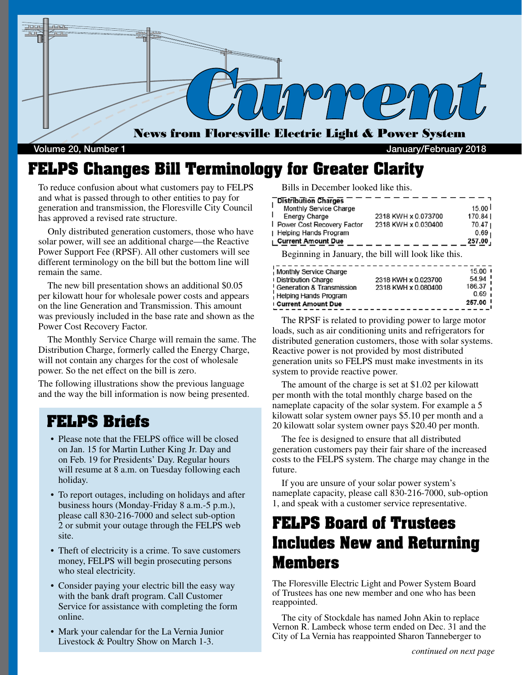

Volume 20, Number 1 January/February 2018

## **FELPS Changes Bill Terminology for Greater Clarity**

To reduce confusion about what customers pay to FELPS and what is passed through to other entities to pay for generation and transmission, the Floresville City Council has approved a revised rate structure.

 Only distributed generation customers, those who have solar power, will see an additional charge—the Reactive Power Support Fee (RPSF). All other customers will see different terminology on the bill but the bottom line will remain the same.

 The new bill presentation shows an additional \$0.05 per kilowatt hour for wholesale power costs and appears on the line Generation and Transmission. This amount was previously included in the base rate and shown as the Power Cost Recovery Factor.

 The Monthly Service Charge will remain the same. The Distribution Charge, formerly called the Energy Charge, will not contain any charges for the cost of wholesale power. So the net effect on the bill is zero.

The following illustrations show the previous language and the way the bill information is now being presented.

#### **FELPS Briefs**

- Please note that the FELPS office will be closed on Jan. 15 for Martin Luther King Jr. Day and on Feb. 19 for Presidents' Day. Regular hours will resume at 8 a.m. on Tuesday following each holiday.
- To report outages, including on holidays and after business hours (Monday-Friday 8 a.m.-5 p.m.), please call 830-216-7000 and select sub-option 2 or submit your outage through the FELPS web site.
- Theft of electricity is a crime. To save customers money, FELPS will begin prosecuting persons who steal electricity.
- Consider paying your electric bill the easy way with the bank draft program. Call Customer Service for assistance with completing the form online.
- Mark your calendar for the La Vernia Junior Livestock & Poultry Show on March 1-3.

Bills in December looked like this.

| Distribution Charges                |                     |                    |
|-------------------------------------|---------------------|--------------------|
| Monthly Service Charge              |                     | 15.00 <sup>1</sup> |
| ı<br><b>Energy Charge</b>           | 2318 KWH x 0.073700 | 170.841            |
| <b>I</b> Power Cost Recovery Factor | 2318 KWH x 0.030400 | 70.471             |
| Helping Hands Program               |                     | 0.69 <sub>1</sub>  |
| <b>I</b> Current Amount Due         |                     | 257.00             |

Beginning in January, the bill will look like this.

| Monthly Service Charge<br><b>I Distribution Charge</b><br>Generation & Transmission<br>Helping Hands Program | 2318 KWH x 0.023700<br>2318 KWH x 0.080400 | $15.00$ H<br>54.94 !<br>186.37<br>0.69 <sub>1</sub><br>257.00 ' |
|--------------------------------------------------------------------------------------------------------------|--------------------------------------------|-----------------------------------------------------------------|
| <b>Current Amount Due</b>                                                                                    |                                            |                                                                 |

 The RPSF is related to providing power to large motor loads, such as air conditioning units and refrigerators for distributed generation customers, those with solar systems. Reactive power is not provided by most distributed generation units so FELPS must make investments in its system to provide reactive power.

 The amount of the charge is set at \$1.02 per kilowatt per month with the total monthly charge based on the nameplate capacity of the solar system. For example a 5 kilowatt solar system owner pays \$5.10 per month and a 20 kilowatt solar system owner pays \$20.40 per month.

 The fee is designed to ensure that all distributed generation customers pay their fair share of the increased costs to the FELPS system. The charge may change in the future.

 If you are unsure of your solar power system's nameplate capacity, please call 830-216-7000, sub-option 1, and speak with a customer service representative.

## **FELPS Board of Trustees Includes New and Returning Members**

The Floresville Electric Light and Power System Board of Trustees has one new member and one who has been reappointed.

 The city of Stockdale has named John Akin to replace Vernon R. Lambeck whose term ended on Dec. 31 and the City of La Vernia has reappointed Sharon Tanneberger to